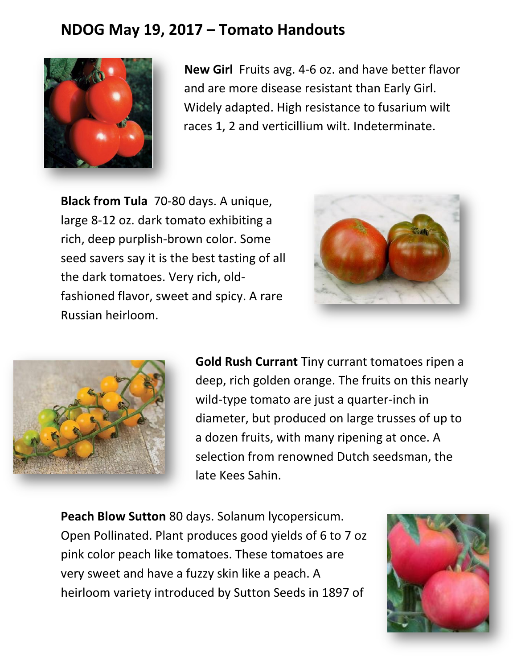## **NDOG May 19, 2017 – Tomato Handouts**



**New Girl** Fruits avg. 4-6 oz. and have better flavor and are more disease resistant than Early Girl. Widely adapted. High resistance to fusarium wilt races 1, 2 and verticillium wilt. Indeterminate.

**Black from Tula** 70-80 days. A unique, large 8-12 oz. dark tomato exhibiting a rich, deep purplish-brown color. Some seed savers say it is the best tasting of all the dark tomatoes. Very rich, oldfashioned flavor, sweet and spicy. A rare Russian heirloom.





**Gold Rush Currant** Tiny currant tomatoes ripen a deep, rich golden orange. The fruits on this nearly wild-type tomato are just a quarter-inch in diameter, but produced on large trusses of up to a dozen fruits, with many ripening at once. A selection from renowned Dutch seedsman, the late Kees Sahin.

**Peach Blow Sutton** 80 days. Solanum lycopersicum. Open Pollinated. Plant produces good yields of 6 to 7 oz pink color peach like tomatoes. These tomatoes are very sweet and have a fuzzy skin like a peach. A heirloom variety introduced by Sutton Seeds in 1897 of

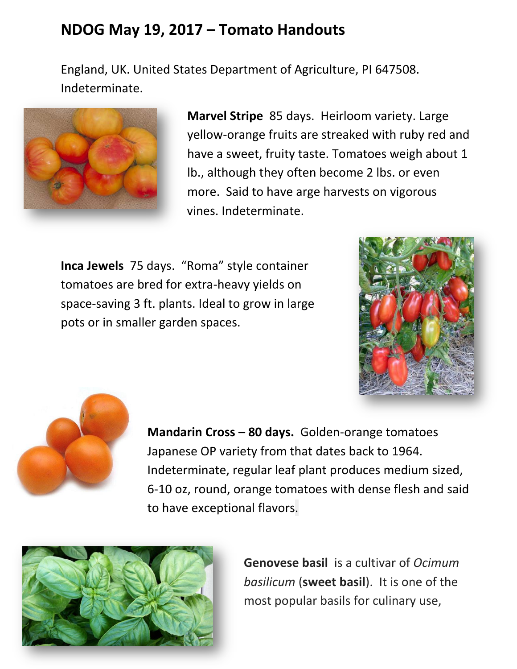## **NDOG May 19, 2017 – Tomato Handouts**

England, UK. United States Department of Agriculture, PI 647508. Indeterminate.



**Marvel Stripe** 85 days. Heirloom variety. Large yellow-orange fruits are streaked with ruby red and have a sweet, fruity taste. Tomatoes weigh about 1 lb., although they often become 2 lbs. or even more. Said to have arge harvests on vigorous vines. Indeterminate.

**Inca Jewels** 75 days. "Roma" style container tomatoes are bred for extra-heavy yields on space-saving 3 ft. plants. Ideal to grow in large pots or in smaller garden spaces.





**Mandarin Cross – 80 days.** Golden-orange tomatoes Japanese OP variety from that dates back to 1964. Indeterminate, regular leaf plant produces medium sized, 6-10 oz, round, orange tomatoes with dense flesh and said to have exceptional flavors.



**Genovese basil** is a cultivar of *Ocimum basilicum* (**sweet basil**). It is one of the most popular basils for culinary use,